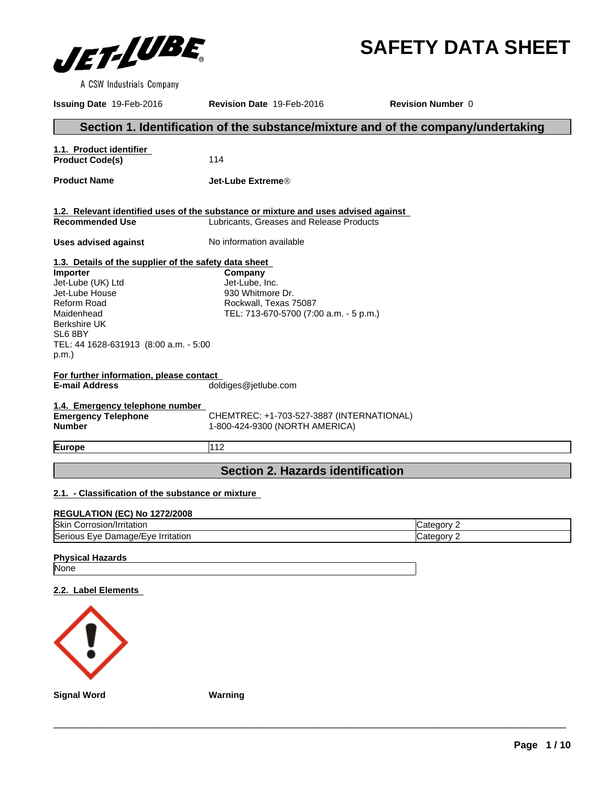

**SAFETY DATA SHEET**

A CSW Industrials Company

**Issuing Date** 19-Feb-2016 **Revision Date** 19-Feb-2016 **Revision Number** 0 **Section 1. Identification of the substance/mixture and of the company/undertaking 1.1. Product identifier**  Product Code(s) 114 **Product Name Jet-Lube ExtremeÒ 1.2. Relevant identified uses of the substance or mixture and uses advised against**  Lubricants, Greases and Release Products **Uses advised against** No information available **1.3. Details of the supplier of the safety data sheet For further information, please contact E-mail Address** doldiges@jetlube.com **1.4. Emergency telephone number Emergency Telephone Number** CHEMTREC: +1-703-527-3887 (INTERNATIONAL) 1-800-424-9300 (NORTH AMERICA) **Europe** 112 **Section 2. Hazards identification Importer** Jet-Lube (UK) Ltd Jet-Lube House Reform Road Maidenhead Berkshire UK SL6 8BY TEL: 44 1628-631913 (8:00 a.m. - 5:00 p.m.) **Company** Jet-Lube, Inc. 930 Whitmore Dr. Rockwall, Texas 75087 TEL: 713-670-5700 (7:00 a.m. - 5 p.m.)

**2.1. - Classification of the substance or mixture** 

# **REGULATION (EC) No 1272/2008**

| <b>Skin</b><br>rosion/Irritation<br>…orr⊂              | onry <sup>-</sup><br>ate: |
|--------------------------------------------------------|---------------------------|
| <b>Seric</b><br>Irritation<br>Damage/Eve<br>Eve<br>us. | onory?<br>:ate            |

# **Physical Hazards** None

# **2.2. Label Elements**



**Signal Word** \_\_\_\_\_\_\_\_\_\_\_\_\_\_\_\_\_\_\_\_\_\_\_\_\_\_\_\_\_\_\_\_\_\_\_\_\_\_\_\_\_\_\_\_\_\_\_\_\_\_\_\_\_\_\_\_\_\_\_\_\_\_\_\_\_\_\_\_\_\_\_\_\_\_\_\_\_\_\_\_\_\_\_\_\_\_\_\_\_\_\_\_\_ **Warning**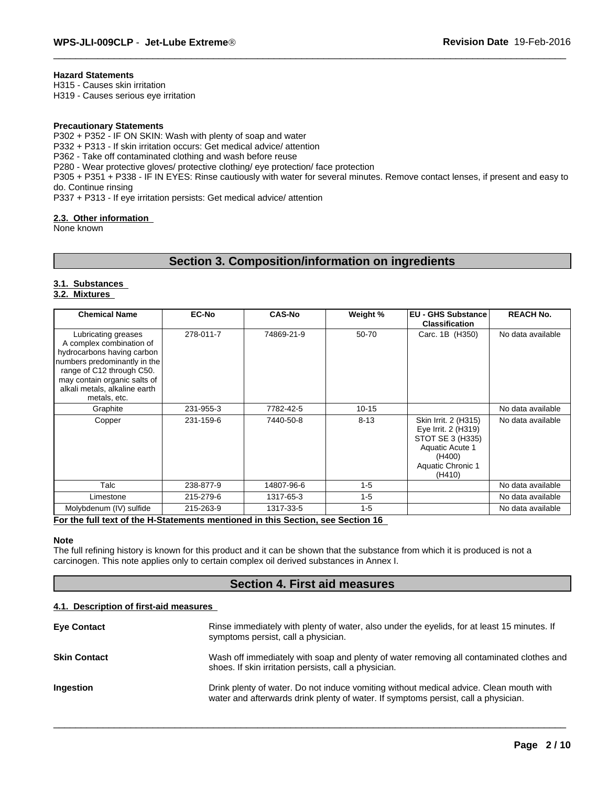# **Hazard Statements**

H315 - Causes skin irritation H319 - Causes serious eye irritation

# **Precautionary Statements**

P302 + P352 - IF ON SKIN: Wash with plenty of soap and water P332 + P313 - If skin irritation occurs: Get medical advice/ attention P362 - Take off contaminated clothing and wash before reuse P280 - Wear protective gloves/ protective clothing/ eye protection/ face protection P305 + P351 + P338 - IF IN EYES: Rinse cautiously with water for several minutes. Remove contact lenses, if present and easy to do. Continue rinsing P337 + P313 - If eye irritation persists: Get medical advice/ attention

# **2.3. Other information**

None known

# **Section 3. Composition/information on ingredients**

# **3.1. Substances**

# **3.2. Mixtures**

| <b>Chemical Name</b>                                                                                                                                                                                                        | <b>EC-No</b> | <b>CAS-No</b> | Weight %  | <b>EU - GHS Substance</b><br><b>Classification</b>                                                                          | <b>REACH No.</b>  |
|-----------------------------------------------------------------------------------------------------------------------------------------------------------------------------------------------------------------------------|--------------|---------------|-----------|-----------------------------------------------------------------------------------------------------------------------------|-------------------|
| Lubricating greases<br>A complex combination of<br>hydrocarbons having carbon<br>numbers predominantly in the<br>range of C12 through C50.<br>may contain organic salts of<br>alkali metals, alkaline earth<br>metals, etc. | 278-011-7    | 74869-21-9    | 50-70     | Carc. 1B (H350)                                                                                                             | No data available |
| Graphite                                                                                                                                                                                                                    | 231-955-3    | 7782-42-5     | $10 - 15$ |                                                                                                                             | No data available |
| Copper                                                                                                                                                                                                                      | 231-159-6    | 7440-50-8     | $8 - 13$  | Skin Irrit. 2 (H315)<br>Eye Irrit. 2 (H319)<br>STOT SE 3 (H335)<br>Aquatic Acute 1<br>(H400)<br>Aquatic Chronic 1<br>(H410) | No data available |
| Talc                                                                                                                                                                                                                        | 238-877-9    | 14807-96-6    | $1 - 5$   |                                                                                                                             | No data available |
| Limestone                                                                                                                                                                                                                   | 215-279-6    | 1317-65-3     | $1 - 5$   |                                                                                                                             | No data available |
| Molybdenum (IV) sulfide                                                                                                                                                                                                     | 215-263-9    | 1317-33-5     | $1 - 5$   |                                                                                                                             | No data available |

#### **For the full text of the H-Statements mentioned in this Section, see Section 16**

# **Note**

The full refining history is known for this product and it can be shown that the substance from which it is produced is not a carcinogen. This note applies only to certain complex oil derived substances in Annex I.

# **Section 4. First aid measures**

# **4.1. Description of first-aid measures**

| <b>Eve Contact</b>  | Rinse immediately with plenty of water, also under the eyelids, for at least 15 minutes. If<br>symptoms persist, call a physician.                                           |
|---------------------|------------------------------------------------------------------------------------------------------------------------------------------------------------------------------|
| <b>Skin Contact</b> | Wash off immediately with soap and plenty of water removing all contaminated clothes and<br>shoes. If skin irritation persists, call a physician.                            |
| Ingestion           | Drink plenty of water. Do not induce vomiting without medical advice. Clean mouth with<br>water and afterwards drink plenty of water. If symptoms persist, call a physician. |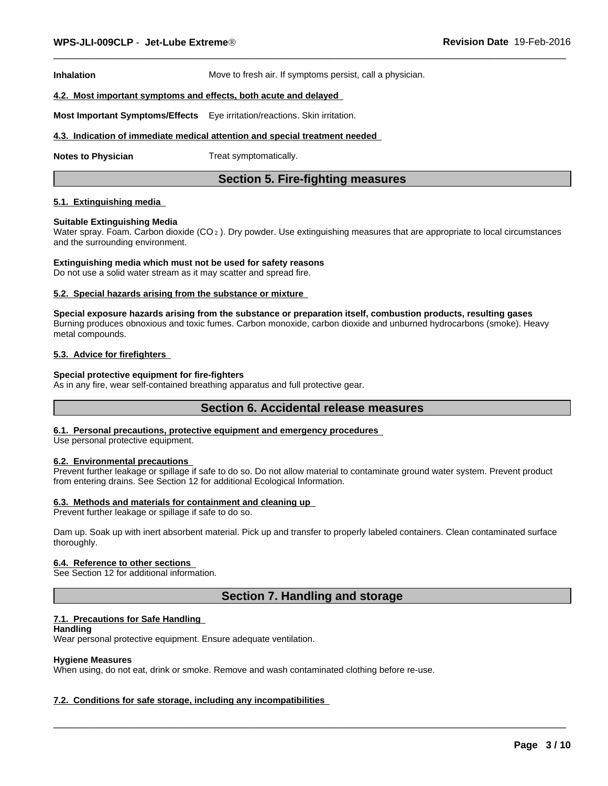**Inhalation** Move to fresh air. If symptoms persist, call a physician.

# **4.2. Most important symptoms and effects, both acute and delayed**

**Most Important Symptoms/Effects** Eye irritation/reactions. Skin irritation.

### **4.3. Indication of immediate medical attention and special treatment needed**

**Notes to Physician** Treat symptomatically.

# **Section 5. Fire-fighting measures**

# **5.1. Extinguishing media**

#### **Suitable Extinguishing Media**

Water spray. Foam. Carbon dioxide ( $CO<sub>2</sub>$ ). Dry powder. Use extinguishing measures that are appropriate to local circumstances and the surrounding environment.

# **Extinguishing media which must not be used for safety reasons**

Do not use a solid water stream as it may scatter and spread fire.

# **5.2. Special hazards arising from the substance or mixture**

**Special exposure hazards arising from the substance or preparation itself, combustion products, resulting gases** Burning produces obnoxious and toxic fumes. Carbon monoxide, carbon dioxide and unburned hydrocarbons (smoke). Heavy metal compounds.

# **5.3. Advice for firefighters**

#### **Special protective equipment for fire-fighters**

As in any fire, wear self-contained breathing apparatus and full protective gear.

# **Section 6. Accidental release measures**

# **6.1. Personal precautions, protective equipment and emergency procedures**

Use personal protective equipment.

# **6.2. Environmental precautions**

Prevent further leakage or spillage if safe to do so. Do not allow material to contaminate ground water system. Prevent product from entering drains. See Section 12 for additional Ecological Information.

#### **6.3. Methods and materials for containment and cleaning up**

Prevent further leakage or spillage if safe to do so.

Dam up. Soak up with inert absorbent material. Pick up and transfer to properly labeled containers. Clean contaminated surface thoroughly.

### **6.4. Reference to other sections**

See Section 12 for additional information.

# **Section 7. Handling and storage**

 $\overline{\phantom{a}}$  ,  $\overline{\phantom{a}}$  ,  $\overline{\phantom{a}}$  ,  $\overline{\phantom{a}}$  ,  $\overline{\phantom{a}}$  ,  $\overline{\phantom{a}}$  ,  $\overline{\phantom{a}}$  ,  $\overline{\phantom{a}}$  ,  $\overline{\phantom{a}}$  ,  $\overline{\phantom{a}}$  ,  $\overline{\phantom{a}}$  ,  $\overline{\phantom{a}}$  ,  $\overline{\phantom{a}}$  ,  $\overline{\phantom{a}}$  ,  $\overline{\phantom{a}}$  ,  $\overline{\phantom{a}}$ 

# **7.1. Precautions for Safe Handling**

### **Handling**

Wear personal protective equipment. Ensure adequate ventilation.

# **Hygiene Measures**

When using, do not eat, drink or smoke. Remove and wash contaminated clothing before re-use.

# **7.2. Conditions for safe storage, including any incompatibilities**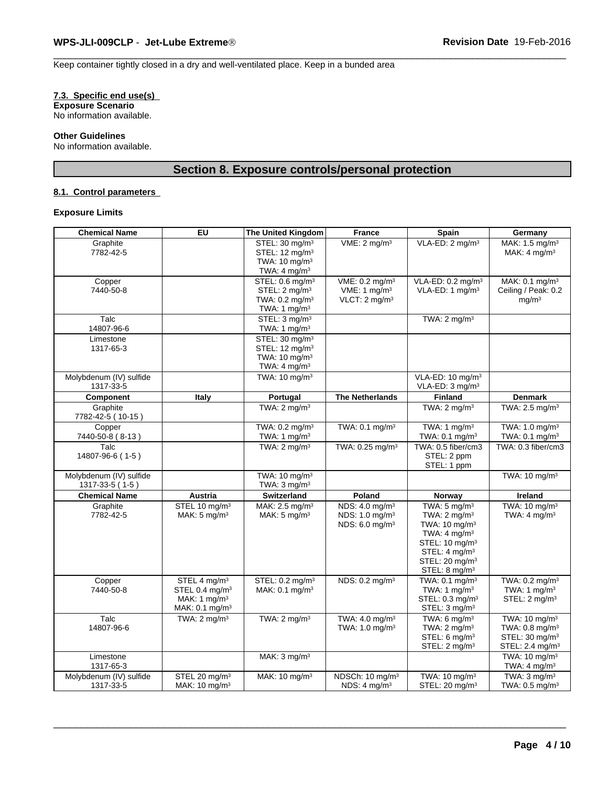Keep container tightly closed in a dry and well-ventilated place. Keep in a bunded area

# **7.3. Specific end use(s)**

**Exposure Scenario** No information available.

### **Other Guidelines**

No information available.

# **Section 8. Exposure controls/personal protection**

# **8.1. Control parameters**

# **Exposure Limits**

| <b>Chemical Name</b>                       | EU                                                                                                     | The United Kingdom                                                                                               | <b>France</b>                                                                          | Spain                                                                                                                                                                                                                            | Germany                                                                                                              |
|--------------------------------------------|--------------------------------------------------------------------------------------------------------|------------------------------------------------------------------------------------------------------------------|----------------------------------------------------------------------------------------|----------------------------------------------------------------------------------------------------------------------------------------------------------------------------------------------------------------------------------|----------------------------------------------------------------------------------------------------------------------|
| Graphite<br>7782-42-5                      |                                                                                                        | STEL: 30 mg/m <sup>3</sup><br>STEL: 12 mg/m <sup>3</sup><br>TWA: $10 \text{ mg/m}^3$<br>TWA: $4 \text{ mg/m}^3$  | VME: 2 mg/m <sup>3</sup>                                                               | VLA-ED: 2 mg/m <sup>3</sup>                                                                                                                                                                                                      | MAK: 1.5 mg/m <sup>3</sup><br>MAK: $4 \text{ mg/m}^3$                                                                |
| Copper<br>7440-50-8                        |                                                                                                        | STEL: 0.6 mg/m <sup>3</sup><br>STEL: 2 mg/m <sup>3</sup><br>TWA: 0.2 mg/m <sup>3</sup><br>TWA: 1 $mg/m3$         | VME: 0.2 mg/m <sup>3</sup><br>VME: 1 $mg/m3$<br>VLCT: 2 mg/m <sup>3</sup>              | VLA-ED: 0.2 mg/m <sup>3</sup><br>VLA-ED: 1 mg/m <sup>3</sup>                                                                                                                                                                     | MAK: 0.1 mg/m <sup>3</sup><br>Ceiling / Peak: 0.2<br>mg/m <sup>3</sup>                                               |
| Talc<br>14807-96-6                         |                                                                                                        | STEL: 3 mg/m <sup>3</sup><br>TWA: 1 $mg/m3$                                                                      |                                                                                        | TWA: $2 \text{ mg/m}^3$                                                                                                                                                                                                          |                                                                                                                      |
| Limestone<br>1317-65-3                     |                                                                                                        | STEL: 30 mg/m <sup>3</sup><br>STEL: 12 mg/m <sup>3</sup><br>TWA: 10 mg/m <sup>3</sup><br>TWA: $4 \text{ mg/m}^3$ |                                                                                        |                                                                                                                                                                                                                                  |                                                                                                                      |
| Molybdenum (IV) sulfide<br>1317-33-5       |                                                                                                        | TWA: $10 \text{ mg/m}^3$                                                                                         |                                                                                        | VLA-ED: 10 mg/m <sup>3</sup><br>VLA-ED: 3 mg/m <sup>3</sup>                                                                                                                                                                      |                                                                                                                      |
| Component                                  | Italy                                                                                                  | Portugal                                                                                                         | <b>The Netherlands</b>                                                                 | <b>Finland</b>                                                                                                                                                                                                                   | <b>Denmark</b>                                                                                                       |
| Graphite<br>7782-42-5 (10-15)              |                                                                                                        | TWA: $2 \text{ mg/m}^3$                                                                                          |                                                                                        | TWA: $2 \text{ mg/m}^3$                                                                                                                                                                                                          | TWA: 2.5 mg/m <sup>3</sup>                                                                                           |
| Copper<br>7440-50-8 (8-13)                 |                                                                                                        | TWA: 0.2 mg/m <sup>3</sup><br>TWA: 1 mg/m <sup>3</sup>                                                           | TWA: 0.1 mg/m <sup>3</sup>                                                             | TWA: 1 mg/m <sup>3</sup><br>TWA: $0.1 \text{ mg/m}^3$                                                                                                                                                                            | TWA: 1.0 mg/m <sup>3</sup><br>TWA: $0.1 \text{ mg/m}^3$                                                              |
| Talc<br>14807-96-6 (1-5)                   |                                                                                                        | TWA: $2 \text{ mg/m}^3$                                                                                          | TWA: 0.25 mg/m <sup>3</sup>                                                            | TWA: 0.5 fiber/cm3<br>STEL: 2 ppm<br>STEL: 1 ppm                                                                                                                                                                                 | TWA: 0.3 fiber/cm3                                                                                                   |
| Molybdenum (IV) sulfide<br>1317-33-5 (1-5) |                                                                                                        | TWA: 10 mg/m <sup>3</sup><br>TWA: $3 \text{ mg/m}^3$                                                             |                                                                                        |                                                                                                                                                                                                                                  | TWA: 10 mg/m <sup>3</sup>                                                                                            |
| <b>Chemical Name</b>                       | Austria                                                                                                | <b>Switzerland</b>                                                                                               | Poland                                                                                 | Norway                                                                                                                                                                                                                           | Ireland                                                                                                              |
| Graphite<br>7782-42-5                      | STEL 10 mg/m <sup>3</sup><br>MAK: $5 \text{ mg/m}^3$                                                   | MAK: 2.5 mg/m <sup>3</sup><br>MAK: $5 \text{ mg/m}^3$                                                            | NDS: 4.0 mg/m <sup>3</sup><br>NDS: 1.0 mg/m <sup>3</sup><br>NDS: 6.0 mg/m <sup>3</sup> | TWA: $5 \text{ mg/m}^3$<br>TWA: $2 \text{ mg/m}^3$<br>TWA: 10 mg/m <sup>3</sup><br>TWA: $4 \text{ mg/m}^3$<br>STEL: 10 mg/m <sup>3</sup><br>STEL: 4 mg/m <sup>3</sup><br>STEL: 20 mg/m <sup>3</sup><br>STEL: 8 mg/m <sup>3</sup> | TWA: 10 mg/m <sup>3</sup><br>TWA: $4 \text{ mg/m}^3$                                                                 |
| Copper<br>7440-50-8                        | STEL 4 mg/m <sup>3</sup><br>STEL 0.4 mg/m <sup>3</sup><br>MAK: 1 $mg/m3$<br>MAK: 0.1 mg/m <sup>3</sup> | STEL: 0.2 mg/m <sup>3</sup><br>MAK: $0.1$ mg/m <sup>3</sup>                                                      | NDS: 0.2 mg/m <sup>3</sup>                                                             | TWA: $0.1$ ma/m <sup>3</sup><br>TWA: 1 $mq/m3$<br>STEL: 0.3 mg/m <sup>3</sup><br>STEL: 3 mg/m <sup>3</sup>                                                                                                                       | TWA: 0.2 mg/m <sup>3</sup><br>TWA: 1 $mg/m3$<br>STEL: 2 mg/m <sup>3</sup>                                            |
| Talc<br>14807-96-6                         | TWA: $2 \text{ mg/m}^3$                                                                                | TWA: $2 \text{ mg/m}^3$                                                                                          | TWA: 4.0 mg/m <sup>3</sup><br>TWA: 1.0 mg/m <sup>3</sup>                               | TWA: $6 \text{ mg/m}^3$<br>TWA: $2 \text{ mg/m}^3$<br>STEL: 6 mg/m <sup>3</sup><br>STEL: 2 mg/m <sup>3</sup>                                                                                                                     | TWA: 10 mg/m <sup>3</sup><br>TWA: 0.8 mg/m <sup>3</sup><br>STEL: 30 mg/m <sup>3</sup><br>STEL: 2.4 mg/m <sup>3</sup> |
| Limestone<br>1317-65-3                     |                                                                                                        | MAK: $3 \text{ mg/m}^3$                                                                                          |                                                                                        |                                                                                                                                                                                                                                  | TWA: 10 mg/m <sup>3</sup><br>TWA: $4 \text{ mg/m}^3$                                                                 |
| Molybdenum (IV) sulfide<br>1317-33-5       | STEL 20 mg/m <sup>3</sup><br>MAK: 10 mg/m <sup>3</sup>                                                 | MAK: 10 mg/m <sup>3</sup>                                                                                        | NDSCh: 10 mg/m <sup>3</sup><br>NDS: $4 \text{ mg/m}^3$                                 | TWA: 10 mg/m <sup>3</sup><br>STEL: 20 mg/m <sup>3</sup>                                                                                                                                                                          | TWA: $3 \text{ mg/m}^3$<br>TWA: 0.5 mg/m <sup>3</sup>                                                                |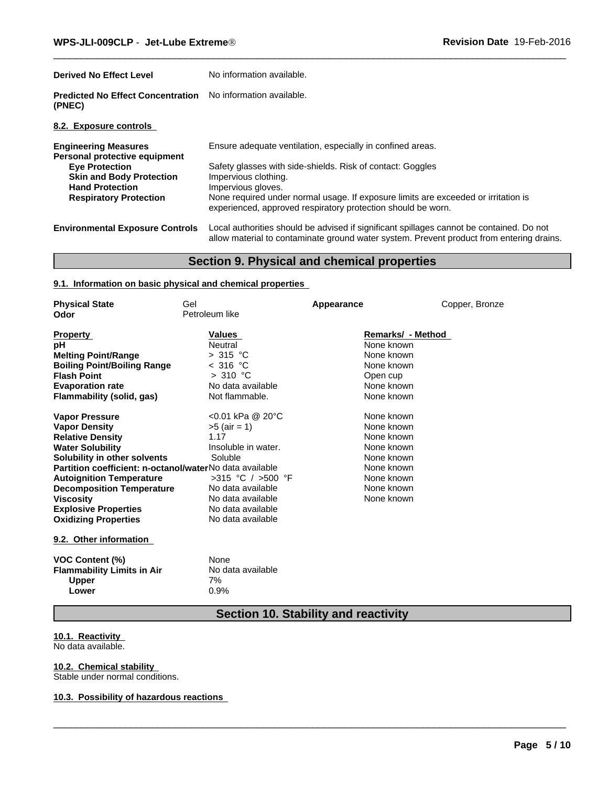| <b>Derived No Effect Level</b>                                                                                                                                                      | No information available.                                                                                                                                                                                                                                                                                                    |
|-------------------------------------------------------------------------------------------------------------------------------------------------------------------------------------|------------------------------------------------------------------------------------------------------------------------------------------------------------------------------------------------------------------------------------------------------------------------------------------------------------------------------|
| <b>Predicted No Effect Concentration</b><br>(PNEC)                                                                                                                                  | No information available.                                                                                                                                                                                                                                                                                                    |
| 8.2. Exposure controls                                                                                                                                                              |                                                                                                                                                                                                                                                                                                                              |
| <b>Engineering Measures</b><br>Personal protective equipment<br><b>Eye Protection</b><br><b>Skin and Body Protection</b><br><b>Hand Protection</b><br><b>Respiratory Protection</b> | Ensure adequate ventilation, especially in confined areas.<br>Safety glasses with side-shields. Risk of contact: Goggles<br>Impervious clothing.<br>Impervious gloves.<br>None required under normal usage. If exposure limits are exceeded or irritation is<br>experienced, approved respiratory protection should be worn. |
| <b>Environmental Exposure Controls</b>                                                                                                                                              | Local authorities should be advised if significant spillages cannot be contained. Do not<br>allow material to contaminate ground water system. Prevent product from entering drains.                                                                                                                                         |

# **Section 9. Physical and chemical properties**

# **9.1. Information on basic physical and chemical properties**

| <b>Physical State</b>                                   | Gel                   | Appearance        | Copper, Bronze |  |
|---------------------------------------------------------|-----------------------|-------------------|----------------|--|
| Odor                                                    | Petroleum like        |                   |                |  |
|                                                         |                       |                   |                |  |
| <b>Property</b>                                         | Values                | Remarks/ - Method |                |  |
| pН                                                      | Neutral               | None known        |                |  |
| <b>Melting Point/Range</b>                              | > 315 °C              | None known        |                |  |
| <b>Boiling Point/Boiling Range</b>                      | < 316 °C              | None known        |                |  |
| <b>Flash Point</b>                                      | >310 °C               | Open cup          |                |  |
| <b>Evaporation rate</b>                                 | No data available     | None known        |                |  |
| Flammability (solid, gas)                               | Not flammable.        | None known        |                |  |
| <b>Vapor Pressure</b>                                   | <0.01 kPa @ 20°C      | None known        |                |  |
| <b>Vapor Density</b>                                    | $>5$ (air = 1)        | None known        |                |  |
| <b>Relative Density</b>                                 | 1.17                  | None known        |                |  |
| <b>Water Solubility</b>                                 | Insoluble in water.   | None known        |                |  |
| Solubility in other solvents                            | Soluble               | None known        |                |  |
| Partition coefficient: n-octanol/waterNo data available |                       | None known        |                |  |
| <b>Autoignition Temperature</b>                         | $>315$ °C / $>500$ °F | None known        |                |  |
| <b>Decomposition Temperature</b>                        | No data available     | None known        |                |  |
| Viscosity                                               | No data available     | None known        |                |  |
| <b>Explosive Properties</b>                             | No data available     |                   |                |  |
| <b>Oxidizing Properties</b>                             | No data available     |                   |                |  |
|                                                         |                       |                   |                |  |
| 9.2. Other information                                  |                       |                   |                |  |
| <b>VOC Content (%)</b>                                  | None                  |                   |                |  |
| <b>Flammability Limits in Air</b>                       | No data available     |                   |                |  |
| <b>Upper</b>                                            | 7%                    |                   |                |  |
| Lower                                                   | 0.9%                  |                   |                |  |

# **Section 10. Stability and reactivity**

 $\overline{\phantom{a}}$  ,  $\overline{\phantom{a}}$  ,  $\overline{\phantom{a}}$  ,  $\overline{\phantom{a}}$  ,  $\overline{\phantom{a}}$  ,  $\overline{\phantom{a}}$  ,  $\overline{\phantom{a}}$  ,  $\overline{\phantom{a}}$  ,  $\overline{\phantom{a}}$  ,  $\overline{\phantom{a}}$  ,  $\overline{\phantom{a}}$  ,  $\overline{\phantom{a}}$  ,  $\overline{\phantom{a}}$  ,  $\overline{\phantom{a}}$  ,  $\overline{\phantom{a}}$  ,  $\overline{\phantom{a}}$ 

# **10.1. Reactivity**

No data available.

# **10.2. Chemical stability**

Stable under normal conditions.

# **10.3. Possibility of hazardous reactions**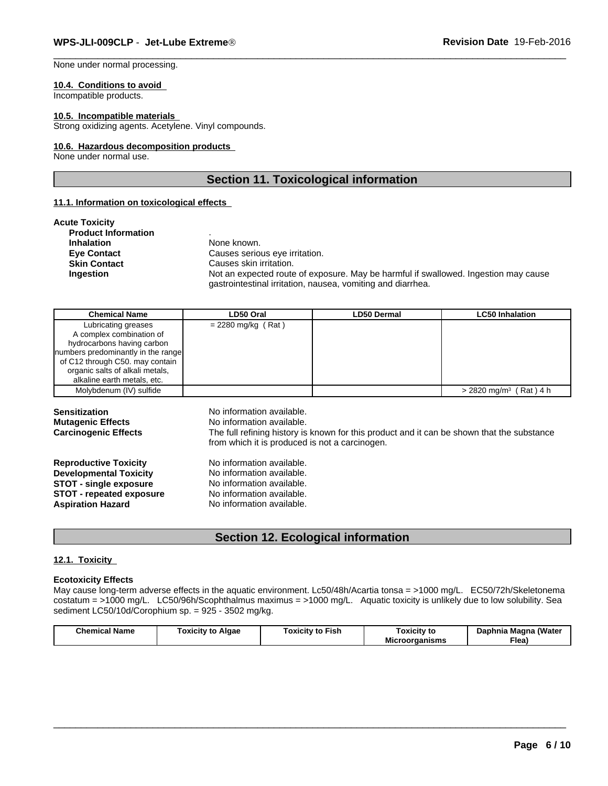None under normal processing.

#### **10.4. Conditions to avoid**

Incompatible products.

# **10.5. Incompatible materials**

Strong oxidizing agents. Acetylene. Vinyl compounds.

# **10.6. Hazardous decomposition products**

None under normal use.

# **Section 11. Toxicological information**

# **11.1. Information on toxicological effects**

| <b>Acute Toxicity</b>      |                                                                                                                                                    |
|----------------------------|----------------------------------------------------------------------------------------------------------------------------------------------------|
| <b>Product Information</b> |                                                                                                                                                    |
| <b>Inhalation</b>          | None known.                                                                                                                                        |
| <b>Eve Contact</b>         | Causes serious eye irritation.                                                                                                                     |
| <b>Skin Contact</b>        | Causes skin irritation.                                                                                                                            |
| Ingestion                  | Not an expected route of exposure. May be harmful if swallowed. Ingestion may cause<br>gastrointestinal irritation, nausea, vomiting and diarrhea. |

| <b>Chemical Name</b>               | LD50 Oral            | <b>LD50 Dermal</b> | <b>LC50 Inhalation</b>               |
|------------------------------------|----------------------|--------------------|--------------------------------------|
| Lubricating greases                | $= 2280$ mg/kg (Rat) |                    |                                      |
| A complex combination of           |                      |                    |                                      |
| hydrocarbons having carbon         |                      |                    |                                      |
| numbers predominantly in the range |                      |                    |                                      |
| of C12 through C50. may contain    |                      |                    |                                      |
| organic salts of alkali metals,    |                      |                    |                                      |
| alkaline earth metals, etc.        |                      |                    |                                      |
| Molybdenum (IV) sulfide            |                      |                    | $> 2820$ mg/m <sup>3</sup> (Rat) 4 h |

| <b>Sensitization</b><br><b>Mutagenic Effects</b><br><b>Carcinogenic Effects</b> | No information available.<br>No information available.<br>The full refining history is known for this product and it can be shown that the substance<br>from which it is produced is not a carcinogen. |
|---------------------------------------------------------------------------------|--------------------------------------------------------------------------------------------------------------------------------------------------------------------------------------------------------|
| <b>Reproductive Toxicity</b>                                                    | No information available.                                                                                                                                                                              |
| <b>Developmental Toxicity</b>                                                   | No information available.                                                                                                                                                                              |
| <b>STOT - single exposure</b>                                                   | No information available.                                                                                                                                                                              |
| <b>STOT - repeated exposure</b>                                                 | No information available.                                                                                                                                                                              |
| <b>Aspiration Hazard</b>                                                        | No information available.                                                                                                                                                                              |

# **Section 12. Ecological information**

# **12.1. Toxicity**

# **Ecotoxicity Effects**

May cause long-term adverse effects in the aquatic environment. Lc50/48h/Acartia tonsa = >1000 mg/L. EC50/72h/Skeletonema costatum = >1000 mg/L. LC50/96h/Scophthalmus maximus = >1000 mg/L. Aquatic toxicity is unlikely due to low solubility. Sea sediment LC50/10d/Corophium sp. = 925 - 3502 mg/kg.

| (Water<br>Chemical<br>Dai<br>Fish<br>oxicity<br>Algae<br>Magna<br>oxicity<br>' Name<br>Toxicity to<br>pnnia<br>τοι<br>.<br>$\sim$ $\sim$<br>.<br>- -<br>Flea,<br>raanisms<br>Mic |
|----------------------------------------------------------------------------------------------------------------------------------------------------------------------------------|
|----------------------------------------------------------------------------------------------------------------------------------------------------------------------------------|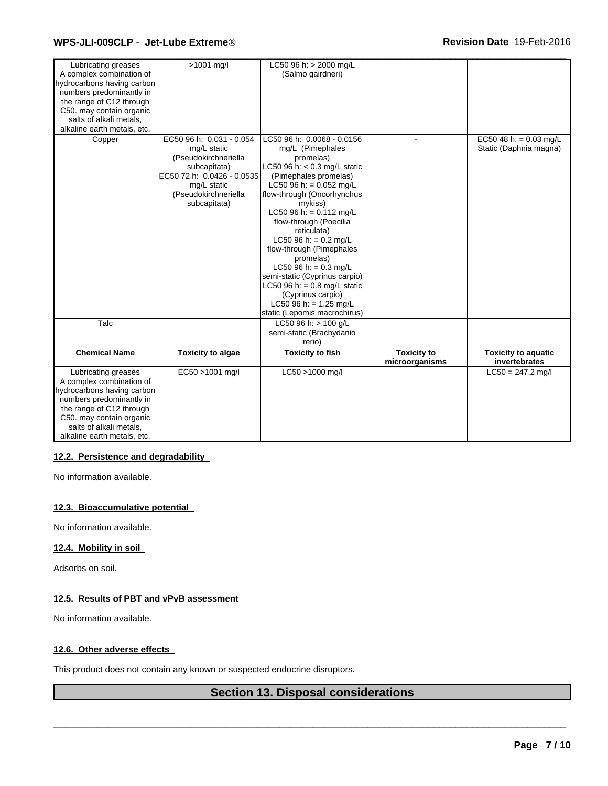# \_\_\_\_\_\_\_\_\_\_\_\_\_\_\_\_\_\_\_\_\_\_\_\_\_\_\_\_\_\_\_\_\_\_\_\_\_\_\_\_\_\_\_\_\_\_\_\_\_\_\_\_\_\_\_\_\_\_\_\_\_\_\_\_\_\_\_\_\_\_\_\_\_\_\_\_\_\_\_\_\_\_\_\_\_\_\_\_\_\_\_\_\_ **WPS-JLI-009CLP** - **Jet-Lube Extreme<sup>Ò</sup> Revision Date** 19-Feb-2016

| Lubricating greases         | >1001 mg/l                           | LC50 96 h: $>$ 2000 mg/L              |                    |                            |
|-----------------------------|--------------------------------------|---------------------------------------|--------------------|----------------------------|
| A complex combination of    |                                      | (Salmo gairdneri)                     |                    |                            |
| hydrocarbons having carbon  |                                      |                                       |                    |                            |
| numbers predominantly in    |                                      |                                       |                    |                            |
| the range of C12 through    |                                      |                                       |                    |                            |
| C50. may contain organic    |                                      |                                       |                    |                            |
| salts of alkali metals.     |                                      |                                       |                    |                            |
| alkaline earth metals, etc. |                                      |                                       |                    |                            |
| Copper                      | EC50 96 h: 0.031 - 0.054             | LC50 96 h: 0.0068 - 0.0156            |                    | EC50 48 h: = $0.03$ mg/L   |
|                             | mg/L static                          | mg/L (Pimephales                      |                    | Static (Daphnia magna)     |
|                             | (Pseudokirchneriella                 | promelas)                             |                    |                            |
|                             | subcapitata)                         | LC50 96 h: $<$ 0.3 mg/L static        |                    |                            |
|                             | EC50 72 h: 0.0426 - 0.0535           | (Pimephales promelas)                 |                    |                            |
|                             | mg/L static                          | LC50 96 h: = $0.052$ mg/L             |                    |                            |
|                             | (Pseudokirchneriella<br>subcapitata) | flow-through (Oncorhynchus<br>mykiss) |                    |                            |
|                             |                                      | LC50 96 h: = $0.112$ mg/L             |                    |                            |
|                             |                                      | flow-through (Poecilia                |                    |                            |
|                             |                                      | reticulata)                           |                    |                            |
|                             |                                      | LC50 96 h: = $0.2$ mg/L               |                    |                            |
|                             |                                      | flow-through (Pimephales              |                    |                            |
|                             |                                      | promelas)                             |                    |                            |
|                             |                                      | LC50 96 h: = $0.3$ mg/L               |                    |                            |
|                             |                                      | semi-static (Cyprinus carpio)         |                    |                            |
|                             |                                      | LC50 96 h: = $0.8$ mg/L static        |                    |                            |
|                             |                                      | (Cyprinus carpio)                     |                    |                            |
|                             |                                      | LC50 96 h: = $1.25$ mg/L              |                    |                            |
|                             |                                      | static (Lepomis macrochirus)          |                    |                            |
| Talc                        |                                      | LC50 96 h: > 100 g/L                  |                    |                            |
|                             |                                      | semi-static (Brachydanio              |                    |                            |
|                             |                                      | rerio)                                |                    |                            |
| <b>Chemical Name</b>        | <b>Toxicity to algae</b>             | <b>Toxicity to fish</b>               | <b>Toxicity to</b> | <b>Toxicity to aquatic</b> |
|                             |                                      |                                       | microorganisms     | invertebrates              |
| Lubricating greases         | EC50 >1001 mg/l                      | LC50 >1000 mg/l                       |                    | $LC50 = 247.2$ mg/l        |
| A complex combination of    |                                      |                                       |                    |                            |
| hydrocarbons having carbon  |                                      |                                       |                    |                            |
| numbers predominantly in    |                                      |                                       |                    |                            |
| the range of C12 through    |                                      |                                       |                    |                            |
| C50. may contain organic    |                                      |                                       |                    |                            |
| salts of alkali metals,     |                                      |                                       |                    |                            |
| alkaline earth metals, etc. |                                      |                                       |                    |                            |

# **12.2. Persistence and degradability**

No information available.

# **12.3. Bioaccumulative potential**

No information available.

# **12.4. Mobility in soil**

Adsorbs on soil.

# **12.5. Results of PBT and vPvB assessment**

No information available.

# **12.6. Other adverse effects**

This product does not contain any known or suspected endocrine disruptors.

# **Section 13. Disposal considerations**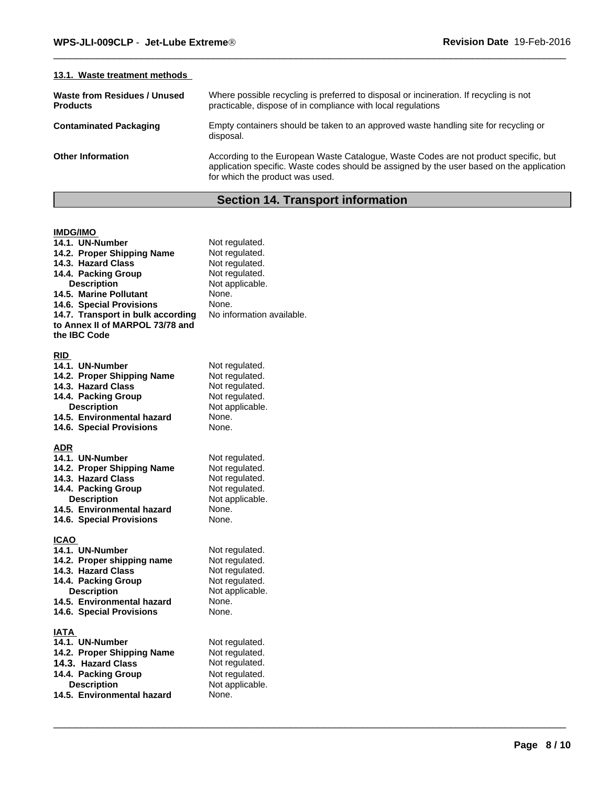| 13.1. Waste treatment methods                   |                                                                                                                                                                                                                      |
|-------------------------------------------------|----------------------------------------------------------------------------------------------------------------------------------------------------------------------------------------------------------------------|
| Waste from Residues / Unused<br><b>Products</b> | Where possible recycling is preferred to disposal or incineration. If recycling is not<br>practicable, dispose of in compliance with local regulations                                                               |
| <b>Contaminated Packaging</b>                   | Empty containers should be taken to an approved waste handling site for recycling or<br>disposal.                                                                                                                    |
| <b>Other Information</b>                        | According to the European Waste Catalogue, Waste Codes are not product specific, but<br>application specific. Waste codes should be assigned by the user based on the application<br>for which the product was used. |
|                                                 |                                                                                                                                                                                                                      |

# **Section 14. Transport information**

| <b>IMDG/IMO</b>                   |                           |
|-----------------------------------|---------------------------|
| 14.1. UN-Number                   | Not regulated.            |
| 14.2. Proper Shipping Name        | Not regulated.            |
| 14.3. Hazard Class                | Not regulated.            |
| 14.4. Packing Group               | Not regulated.            |
| <b>Description</b>                | Not applicable.           |
| 14.5. Marine Pollutant            | None.                     |
| 14.6. Special Provisions          | None.                     |
| 14.7. Transport in bulk according | No information available. |
| to Annex II of MARPOL 73/78 and   |                           |
| the IBC Code                      |                           |
|                                   |                           |
| <b>RID</b>                        |                           |
| 14.1. UN-Number                   | Not regulated.            |
| 14.2. Proper Shipping Name        | Not regulated.            |
| 14.3. Hazard Class                | Not regulated.            |
| 14.4. Packing Group               | Not regulated.            |
| <b>Description</b>                | Not applicable.           |
| 14.5. Environmental hazard        | None.                     |
| 14.6. Special Provisions          | None.                     |
|                                   |                           |
| ADR                               |                           |
| 14.1. UN-Number                   | Not regulated.            |
| 14.2. Proper Shipping Name        | Not regulated.            |
| 14.3. Hazard Class                | Not regulated.            |
| 14.4. Packing Group               | Not regulated.            |
| Description                       | Not applicable.           |
| 14.5. Environmental hazard        | None.                     |
| 14.6. Special Provisions          | None.                     |
|                                   |                           |
| <b>ICAO</b>                       |                           |
| 14.1. UN-Number                   | Not regulated.            |
| 14.2. Proper shipping name        | Not regulated.            |
| 14.3. Hazard Class                | Not regulated.            |
| 14.4. Packing Group               | Not regulated.            |
| <b>Description</b>                | Not applicable.           |
| 14.5. Environmental hazard        | None.                     |
| 14.6. Special Provisions          | None.                     |
|                                   |                           |
| IATA                              |                           |
| 14.1. UN-Number                   | Not regulated.            |
| 14.2. Proper Shipping Name        | Not regulated.            |
| 14.3. Hazard Class                | Not regulated.            |
| 14.4. Packing Group               | Not regulated.            |
| <b>Description</b>                | Not applicable.           |
| 14.5. Environmental hazard        | None.                     |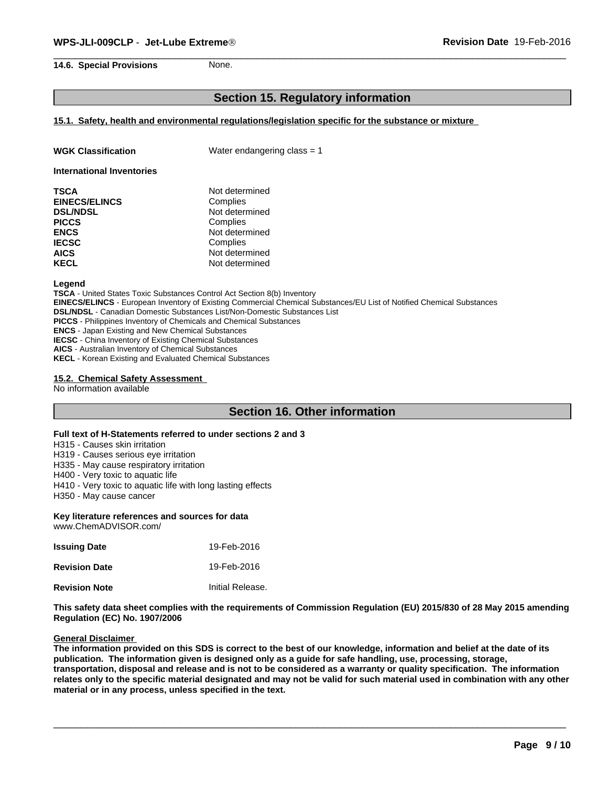# **Section 15. Regulatory information**

# **15.1. Safety, health and environmental regulations/legislation specific for the substance or mixture**

| <b>WGK Classification</b> | Water endangering class $= 1$ |
|---------------------------|-------------------------------|
|                           |                               |

**International Inventories**

| TSCA                 | Not determined |  |
|----------------------|----------------|--|
| <b>EINECS/ELINCS</b> | Complies       |  |
| <b>DSL/NDSL</b>      | Not determined |  |
| <b>PICCS</b>         | Complies       |  |
| <b>ENCS</b>          | Not determined |  |
| <b>IECSC</b>         | Complies       |  |
| <b>AICS</b>          | Not determined |  |
| KECL                 | Not determined |  |
|                      |                |  |

#### **Legend**

**TSCA** - United States Toxic Substances Control Act Section 8(b) Inventory **EINECS/ELINCS** - European Inventory of Existing Commercial Chemical Substances/EU List of Notified Chemical Substances **DSL/NDSL** - Canadian Domestic Substances List/Non-Domestic Substances List **PICCS** - Philippines Inventory of Chemicals and Chemical Substances **ENCS** - Japan Existing and New Chemical Substances **IECSC** - China Inventory of Existing Chemical Substances **AICS** - Australian Inventory of Chemical Substances **KECL** - Korean Existing and Evaluated Chemical Substances

#### **15.2. Chemical Safety Assessment**

No information available

# **Section 16. Other information**

## **Full text of H-Statements referred to under sections 2 and 3**

H315 - Causes skin irritation

H319 - Causes serious eye irritation

H335 - May cause respiratory irritation

H400 - Very toxic to aquatic life

H410 - Very toxic to aquatic life with long lasting effects

H350 - May cause cancer

### **Key literature references and sources for data**

www.ChemADVISOR.com/

| <b>Issuing Date</b>  | 19-Feb-2016      |
|----------------------|------------------|
| <b>Revision Date</b> | 19-Feb-2016      |
| <b>Revision Note</b> | Initial Release. |

**This safety data sheet complies with the requirements of Commission Regulation (EU) 2015/830 of 28 May 2015 amending Regulation (EC) No. 1907/2006**

#### **General Disclaimer**

**The information provided on this SDS is correct to the best of our knowledge, information and belief at the date of its publication. The information given is designed only as a guide for safe handling, use, processing, storage, transportation, disposal and release and is not to be considered as a warranty or quality specification. The information relates only to the specific material designated and may not be valid for such material used in combination with any other material or in any process, unless specified in the text.**